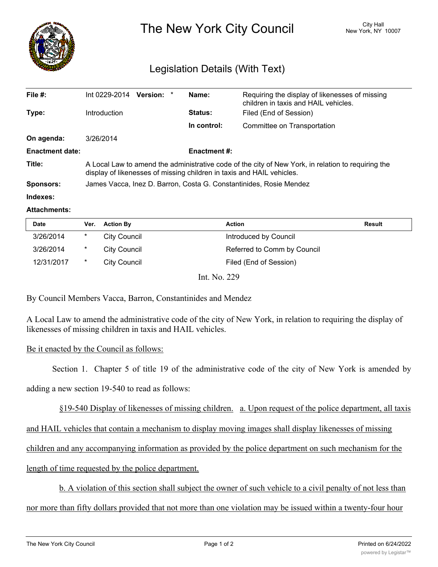

The New York City Council New York, NY 10007

## Legislation Details (With Text)

| File $#$ :             | Int 0229-2014<br><b>Version:</b>                                                                                                                                            |  | Name:          | Requiring the display of likenesses of missing<br>children in taxis and HAIL vehicles. |  |
|------------------------|-----------------------------------------------------------------------------------------------------------------------------------------------------------------------------|--|----------------|----------------------------------------------------------------------------------------|--|
| Type:                  | <b>Introduction</b>                                                                                                                                                         |  | <b>Status:</b> | Filed (End of Session)                                                                 |  |
|                        |                                                                                                                                                                             |  | In control:    | Committee on Transportation                                                            |  |
| On agenda:             | 3/26/2014                                                                                                                                                                   |  |                |                                                                                        |  |
| <b>Enactment date:</b> | <b>Enactment #:</b>                                                                                                                                                         |  |                |                                                                                        |  |
| Title:                 | A Local Law to amend the administrative code of the city of New York, in relation to requiring the<br>display of likenesses of missing children in taxis and HAIL vehicles. |  |                |                                                                                        |  |
| <b>Sponsors:</b>       | James Vacca, Inez D. Barron, Costa G. Constantinides, Rosie Mendez                                                                                                          |  |                |                                                                                        |  |
| Indexes:               |                                                                                                                                                                             |  |                |                                                                                        |  |

## **Attachments:**

| <b>Date</b> | Ver.   | <b>Action By</b>    | <b>Action</b>               | Result |
|-------------|--------|---------------------|-----------------------------|--------|
| 3/26/2014   | *      | City Council        | Introduced by Council       |        |
| 3/26/2014   | $\ast$ | <b>City Council</b> | Referred to Comm by Council |        |
| 12/31/2017  | $\ast$ | <b>City Council</b> | Filed (End of Session)      |        |
|             |        |                     |                             |        |

Int. No. 229

By Council Members Vacca, Barron, Constantinides and Mendez

A Local Law to amend the administrative code of the city of New York, in relation to requiring the display of likenesses of missing children in taxis and HAIL vehicles.

## Be it enacted by the Council as follows:

Section 1. Chapter 5 of title 19 of the administrative code of the city of New York is amended by

adding a new section 19-540 to read as follows:

§19-540 Display of likenesses of missing children. a. Upon request of the police department, all taxis

and HAIL vehicles that contain a mechanism to display moving images shall display likenesses of missing

children and any accompanying information as provided by the police department on such mechanism for the

length of time requested by the police department.

b. A violation of this section shall subject the owner of such vehicle to a civil penalty of not less than

nor more than fifty dollars provided that not more than one violation may be issued within a twenty-four hour